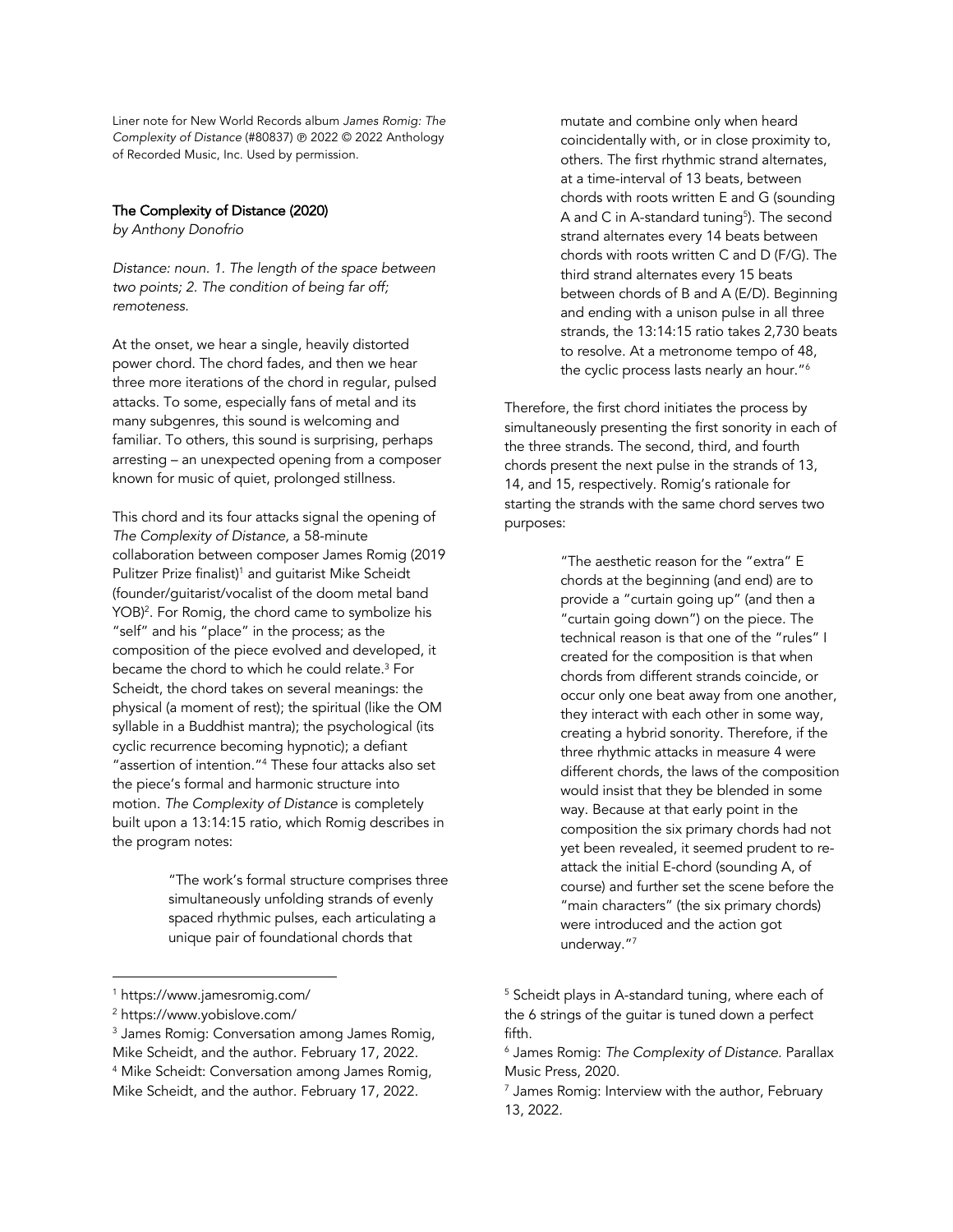Liner note for New World Records album *James Romig: The Complexity of Distance* (#80837) ℗ 2022 © 2022 Anthology of Recorded Music, Inc. Used by permission.

## The Complexity of Distance (2020)

*by Anthony Donofrio*

*Distance: noun. 1. The length of the space between two points; 2. The condition of being far off; remoteness.* 

At the onset, we hear a single, heavily distorted power chord. The chord fades, and then we hear three more iterations of the chord in regular, pulsed attacks. To some, especially fans of metal and its many subgenres, this sound is welcoming and familiar. To others, this sound is surprising, perhaps arresting – an unexpected opening from a composer known for music of quiet, prolonged stillness.

This chord and its four attacks signal the opening of *The Complexity of Distance,* a 58-minute collaboration between composer James Romig (2019 Pulitzer Prize finalist)<sup>1</sup> and guitarist Mike Scheidt (founder/guitarist/vocalist of the doom metal band YOB) 2. For Romig, the chord came to symbolize his "self" and his "place" in the process; as the composition of the piece evolved and developed, it became the chord to which he could relate.3 For Scheidt, the chord takes on several meanings: the physical (a moment of rest); the spiritual (like the OM syllable in a Buddhist mantra); the psychological (its cyclic recurrence becoming hypnotic); a defiant "assertion of intention."4 These four attacks also set the piece's formal and harmonic structure into motion. *The Complexity of Distance* is completely built upon a 13:14:15 ratio, which Romig describes in the program notes:

> "The work's formal structure comprises three simultaneously unfolding strands of evenly spaced rhythmic pulses, each articulating a unique pair of foundational chords that

mutate and combine only when heard coincidentally with, or in close proximity to, others. The first rhythmic strand alternates, at a time-interval of 13 beats, between chords with roots written E and G (sounding A and C in A-standard tuning<sup>5</sup>). The second strand alternates every 14 beats between chords with roots written C and D (F/G). The third strand alternates every 15 beats between chords of B and A (E/D). Beginning and ending with a unison pulse in all three strands, the 13:14:15 ratio takes 2,730 beats to resolve. At a metronome tempo of 48, the cyclic process lasts nearly an hour."<sup>6</sup>

Therefore, the first chord initiates the process by simultaneously presenting the first sonority in each of the three strands. The second, third, and fourth chords present the next pulse in the strands of 13, 14, and 15, respectively. Romig's rationale for starting the strands with the same chord serves two purposes:

> "The aesthetic reason for the "extra" E chords at the beginning (and end) are to provide a "curtain going up" (and then a "curtain going down") on the piece. The technical reason is that one of the "rules" I created for the composition is that when chords from different strands coincide, or occur only one beat away from one another, they interact with each other in some way, creating a hybrid sonority. Therefore, if the three rhythmic attacks in measure 4 were different chords, the laws of the composition would insist that they be blended in some way. Because at that early point in the composition the six primary chords had not yet been revealed, it seemed prudent to reattack the initial E-chord (sounding A, of course) and further set the scene before the "main characters" (the six primary chords) were introduced and the action got underway."7

<sup>1</sup> https://www.jamesromig.com/

<sup>2</sup> https://www.yobislove.com/

<sup>&</sup>lt;sup>3</sup> James Romig: Conversation among James Romig, Mike Scheidt, and the author. February 17, 2022. <sup>4</sup> Mike Scheidt: Conversation among James Romig, Mike Scheidt, and the author. February 17, 2022.

<sup>&</sup>lt;sup>5</sup> Scheidt plays in A-standard tuning, where each of the 6 strings of the guitar is tuned down a perfect fifth.

<sup>6</sup> James Romig: *The Complexity of Distance*. Parallax Music Press, 2020.

 $<sup>7</sup>$  James Romig: Interview with the author, February</sup> 13, 2022.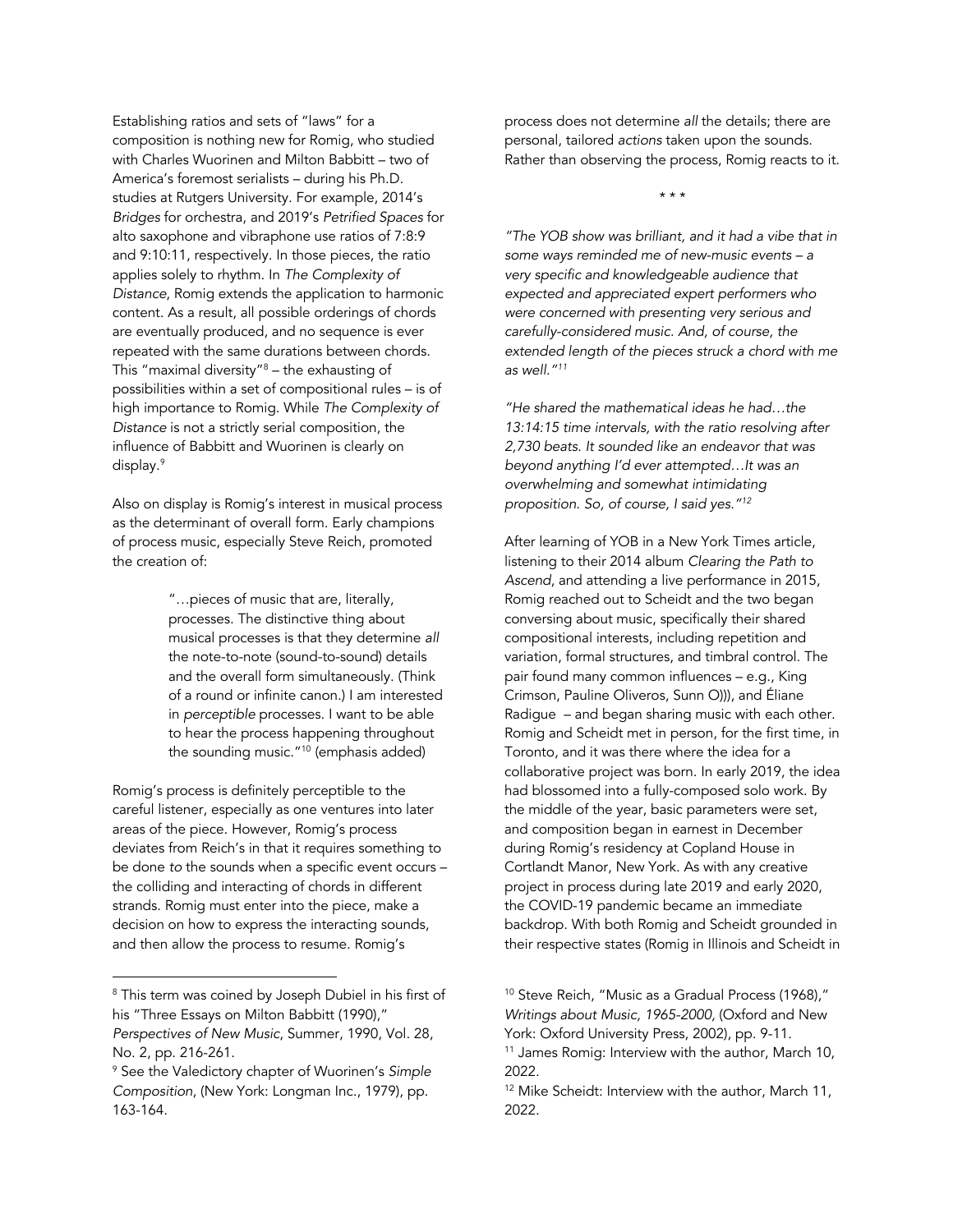Establishing ratios and sets of "laws" for a composition is nothing new for Romig, who studied with Charles Wuorinen and Milton Babbitt – two of America's foremost serialists – during his Ph.D. studies at Rutgers University. For example, 2014's *Bridges* for orchestra, and 2019's *Petrified Spaces* for alto saxophone and vibraphone use ratios of 7:8:9 and 9:10:11, respectively. In those pieces, the ratio applies solely to rhythm. In *The Complexity of Distance*, Romig extends the application to harmonic content. As a result, all possible orderings of chords are eventually produced, and no sequence is ever repeated with the same durations between chords. This "maximal diversity"8 – the exhausting of possibilities within a set of compositional rules – is of high importance to Romig. While *The Complexity of Distance* is not a strictly serial composition, the influence of Babbitt and Wuorinen is clearly on display. 9

Also on display is Romig's interest in musical process as the determinant of overall form. Early champions of process music, especially Steve Reich, promoted the creation of:

> "…pieces of music that are, literally, processes. The distinctive thing about musical processes is that they determine *all* the note-to-note (sound-to-sound) details and the overall form simultaneously. (Think of a round or infinite canon.) I am interested in *perceptible* processes. I want to be able to hear the process happening throughout the sounding music."10 (emphasis added)

Romig's process is definitely perceptible to the careful listener, especially as one ventures into later areas of the piece. However, Romig's process deviates from Reich's in that it requires something to be done *to* the sounds when a specific event occurs – the colliding and interacting of chords in different strands. Romig must enter into the piece, make a decision on how to express the interacting sounds, and then allow the process to resume. Romig's

process does not determine *all* the details; there are personal, tailored *actions* taken upon the sounds. Rather than observing the process, Romig reacts to it.

\* \* \*

*"The YOB show was brilliant, and it had a vibe that in some ways reminded me of new-music events – a very specific and knowledgeable audience that expected and appreciated expert performers who were concerned with presenting very serious and carefully-considered music. And, of course, the extended length of the pieces struck a chord with me as well."11*

*"He shared the mathematical ideas he had…the 13:14:15 time intervals, with the ratio resolving after 2,730 beats. It sounded like an endeavor that was beyond anything I'd ever attempted…It was an overwhelming and somewhat intimidating proposition. So, of course, I said yes."12*

After learning of YOB in a New York Times article, listening to their 2014 album *Clearing the Path to Ascend*, and attending a live performance in 2015, Romig reached out to Scheidt and the two began conversing about music, specifically their shared compositional interests, including repetition and variation, formal structures, and timbral control. The pair found many common influences – e.g., King Crimson, Pauline Oliveros, Sunn O))), and Éliane Radigue – and began sharing music with each other. Romig and Scheidt met in person, for the first time, in Toronto, and it was there where the idea for a collaborative project was born. In early 2019, the idea had blossomed into a fully-composed solo work. By the middle of the year, basic parameters were set, and composition began in earnest in December during Romig's residency at Copland House in Cortlandt Manor, New York. As with any creative project in process during late 2019 and early 2020, the COVID-19 pandemic became an immediate backdrop. With both Romig and Scheidt grounded in their respective states (Romig in Illinois and Scheidt in

<sup>&</sup>lt;sup>8</sup> This term was coined by Joseph Dubiel in his first of his "Three Essays on Milton Babbitt (1990)," *Perspectives of New Music*, Summer, 1990, Vol. 28, No. 2, pp. 216-261.

<sup>9</sup> See the Valedictory chapter of Wuorinen's *Simple Composition*, (New York: Longman Inc., 1979), pp. 163-164.

<sup>&</sup>lt;sup>10</sup> Steve Reich, "Music as a Gradual Process (1968)," *Writings about Music, 1965-2000,* (Oxford and New York: Oxford University Press, 2002), pp. 9-11. <sup>11</sup> James Romig: Interview with the author, March 10,

<sup>2022.</sup> <sup>12</sup> Mike Scheidt: Interview with the author, March 11, 2022.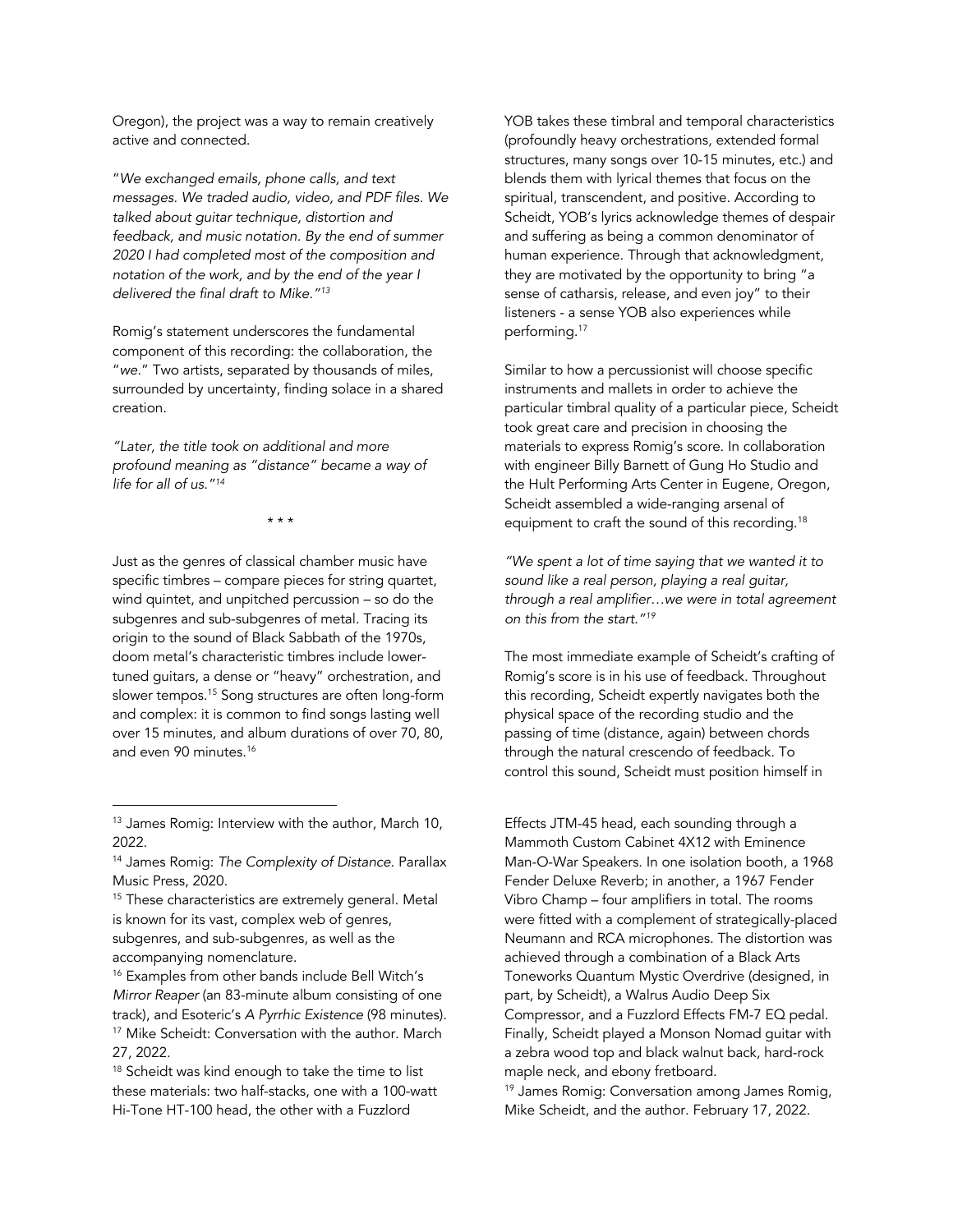Oregon), the project was a way to remain creatively active and connected.

"*We exchanged emails, phone calls, and text messages. We traded audio, video, and PDF files. We talked about guitar technique, distortion and feedback, and music notation. By the end of summer 2020 I had completed most of the composition and notation of the work, and by the end of the year I delivered the final draft to Mike."13*

Romig's statement underscores the fundamental component of this recording: the collaboration, the "*we.*" Two artists, separated by thousands of miles, surrounded by uncertainty, finding solace in a shared creation.

*"Later, the title took on additional and more profound meaning as "distance" became a way of life for all of us."14*

\* \* \*

Just as the genres of classical chamber music have specific timbres – compare pieces for string quartet, wind quintet, and unpitched percussion – so do the subgenres and sub-subgenres of metal. Tracing its origin to the sound of Black Sabbath of the 1970s, doom metal's characteristic timbres include lowertuned guitars, a dense or "heavy" orchestration, and slower tempos. <sup>15</sup> Song structures are often long-form and complex: it is common to find songs lasting well over 15 minutes, and album durations of over 70, 80, and even 90 minutes.16

- <sup>15</sup> These characteristics are extremely general. Metal is known for its vast, complex web of genres, subgenres, and sub-subgenres, as well as the accompanying nomenclature.
- <sup>16</sup> Examples from other bands include Bell Witch's *Mirror Reaper* (an 83-minute album consisting of one track), and Esoteric's *A Pyrrhic Existence* (98 minutes). <sup>17</sup> Mike Scheidt: Conversation with the author. March 27, 2022.

<sup>18</sup> Scheidt was kind enough to take the time to list these materials: two half-stacks, one with a 100-watt Hi-Tone HT-100 head, the other with a Fuzzlord

YOB takes these timbral and temporal characteristics (profoundly heavy orchestrations, extended formal structures, many songs over 10-15 minutes, etc.) and blends them with lyrical themes that focus on the spiritual, transcendent, and positive. According to Scheidt, YOB's lyrics acknowledge themes of despair and suffering as being a common denominator of human experience. Through that acknowledgment, they are motivated by the opportunity to bring "a sense of catharsis, release, and even joy" to their listeners - a sense YOB also experiences while performing.17

Similar to how a percussionist will choose specific instruments and mallets in order to achieve the particular timbral quality of a particular piece, Scheidt took great care and precision in choosing the materials to express Romig's score. In collaboration with engineer Billy Barnett of Gung Ho Studio and the Hult Performing Arts Center in Eugene, Oregon, Scheidt assembled a wide-ranging arsenal of equipment to craft the sound of this recording.<sup>18</sup>

*"We spent a lot of time saying that we wanted it to sound like a real person, playing a real guitar, through a real amplifier…we were in total agreement on this from the start."19*

The most immediate example of Scheidt's crafting of Romig's score is in his use of feedback. Throughout this recording, Scheidt expertly navigates both the physical space of the recording studio and the passing of time (distance, again) between chords through the natural crescendo of feedback. To control this sound, Scheidt must position himself in

Effects JTM-45 head, each sounding through a Mammoth Custom Cabinet 4X12 with Eminence Man-O-War Speakers. In one isolation booth, a 1968 Fender Deluxe Reverb; in another, a 1967 Fender Vibro Champ – four amplifiers in total. The rooms were fitted with a complement of strategically-placed Neumann and RCA microphones. The distortion was achieved through a combination of a Black Arts Toneworks Quantum Mystic Overdrive (designed, in part, by Scheidt), a Walrus Audio Deep Six Compressor, and a Fuzzlord Effects FM-7 EQ pedal. Finally, Scheidt played a Monson Nomad guitar with a zebra wood top and black walnut back, hard-rock maple neck, and ebony fretboard.

<sup>19</sup> James Romig: Conversation among James Romig, Mike Scheidt, and the author. February 17, 2022.

<sup>&</sup>lt;sup>13</sup> James Romig: Interview with the author, March 10, 2022.

<sup>14</sup> James Romig: *The Complexity of Distance*. Parallax Music Press, 2020.